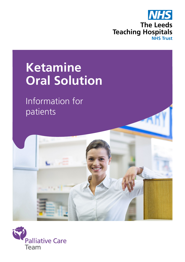

# **Ketamine Oral Solution**

Information for patients



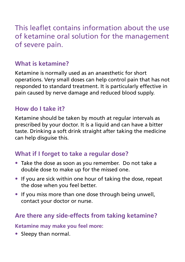This leaflet contains information about the use of ketamine oral solution for the management of severe pain.

### **What is ketamine?**

Ketamine is normally used as an anaesthetic for short operations. Very small doses can help control pain that has not responded to standard treatment. It is particularly effective in pain caused by nerve damage and reduced blood supply.

### **How do I take it?**

Ketamine should be taken by mouth at regular intervals as prescribed by your doctor. It is a liquid and can have a bitter taste. Drinking a soft drink straight after taking the medicine can help disguise this.

### **What if I forget to take a regular dose?**

- Take the dose as soon as you remember. Do not take a double dose to make up for the missed one.
- If you are sick within one hour of taking the dose, repeat the dose when you feel better.
- If you miss more than one dose through being unwell, contact your doctor or nurse.

# **Are there any side-effects from taking ketamine?**

#### **Ketamine may make you feel more:**

• Sleepy than normal.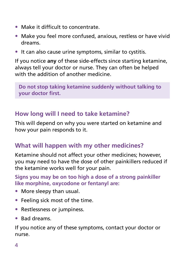- Make it difficult to concentrate.
- Make you feel more confused, anxious, restless or have vivid dreams.
- It can also cause urine symptoms, similar to cystitis.

If you notice **any** of these side-effects since starting ketamine, always tell your doctor or nurse. They can often be helped with the addition of another medicine.

**Do not stop taking ketamine suddenly without talking to your doctor first.**

#### **How long will I need to take ketamine?**

This will depend on why you were started on ketamine and how your pain responds to it.

### **What will happen with my other medicines?**

Ketamine should not affect your other medicines; however, you may need to have the dose of other painkillers reduced if the ketamine works well for your pain.

#### **Signs you may be on too high a dose of a strong painkiller like morphine, oxycodone or fentanyl are:**

- More sleepy than usual.
- Feeling sick most of the time.
- Restlessness or jumpiness.
- Bad dreams.

If you notice any of these symptoms, contact your doctor or nurse.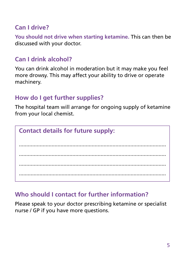#### **Can I drive?**

**You should not drive when starting ketamine.** This can then be discussed with your doctor.

#### **Can I drink alcohol?**

You can drink alcohol in moderation but it may make you feel more drowsy. This may affect your ability to drive or operate machinery.

## **How do I get further supplies?**

The hospital team will arrange for ongoing supply of ketamine from your local chemist.

# **Contact details for future supply:** ................................................................................................... ................................................................................................... ................................................................................................... ....................................................................................................

#### **Who should I contact for further information?**

Please speak to your doctor prescribing ketamine or specialist nurse / GP if you have more questions.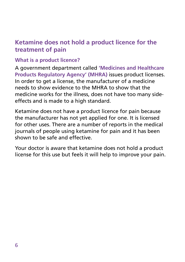#### **Ketamine does not hold a product licence for the treatment of pain**

#### **What is a product licence?**

A government department called **'Medicines and Healthcare Products Regulatory Agency' (MHRA)** issues product licenses. In order to get a license, the manufacturer of a medicine needs to show evidence to the MHRA to show that the medicine works for the illness, does not have too many sideeffects and is made to a high standard.

Ketamine does not have a product licence for pain because the manufacturer has not yet applied for one. It is licensed for other uses. There are a number of reports in the medical journals of people using ketamine for pain and it has been shown to be safe and effective.

Your doctor is aware that ketamine does not hold a product license for this use but feels it will help to improve your pain.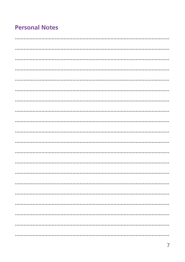## **Personal Notes**